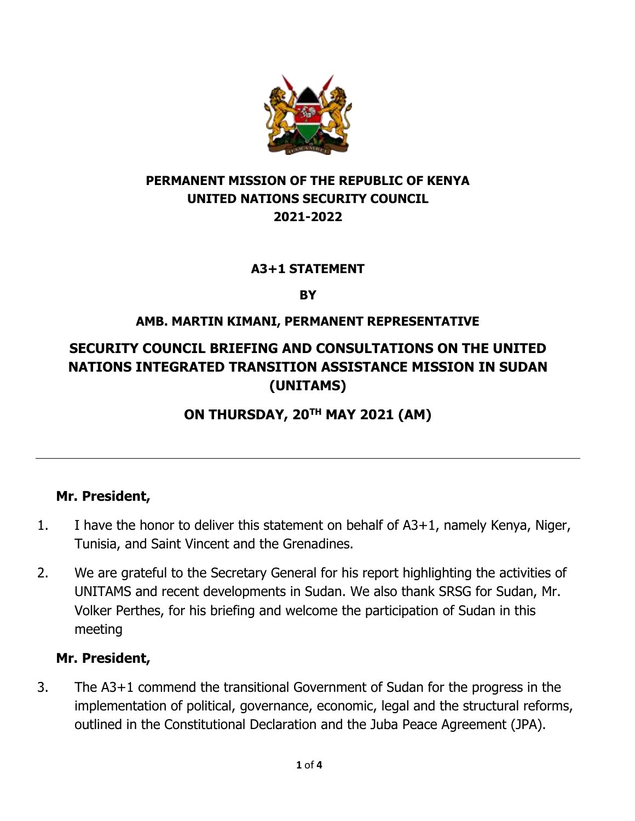

### **PERMANENT MISSION OF THE REPUBLIC OF KENYA UNITED NATIONS SECURITY COUNCIL 2021-2022**

#### **A3+1 STATEMENT**

**BY** 

### **AMB. MARTIN KIMANI, PERMANENT REPRESENTATIVE**

# **SECURITY COUNCIL BRIEFING AND CONSULTATIONS ON THE UNITED NATIONS INTEGRATED TRANSITION ASSISTANCE MISSION IN SUDAN (UNITAMS)**

## **ON THURSDAY, 20TH MAY 2021 (AM)**

#### **Mr. President,**

- 1. I have the honor to deliver this statement on behalf of A3+1, namely Kenya, Niger, Tunisia, and Saint Vincent and the Grenadines.
- 2. We are grateful to the Secretary General for his report highlighting the activities of UNITAMS and recent developments in Sudan. We also thank SRSG for Sudan, Mr. Volker Perthes, for his briefing and welcome the participation of Sudan in this meeting

#### **Mr. President,**

3. The A3+1 commend the transitional Government of Sudan for the progress in the implementation of political, governance, economic, legal and the structural reforms, outlined in the Constitutional Declaration and the Juba Peace Agreement (JPA).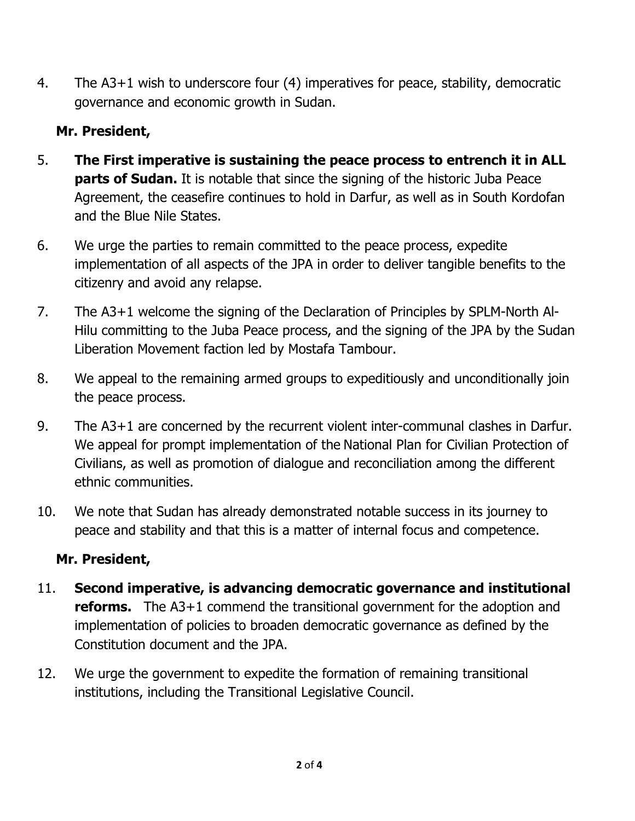4. The A3+1 wish to underscore four (4) imperatives for peace, stability, democratic governance and economic growth in Sudan.

## **Mr. President,**

- 5. **The First imperative is sustaining the peace process to entrench it in ALL parts of Sudan.** It is notable that since the signing of the historic Juba Peace Agreement, the ceasefire continues to hold in Darfur, as well as in South Kordofan and the Blue Nile States.
- 6. We urge the parties to remain committed to the peace process, expedite implementation of all aspects of the JPA in order to deliver tangible benefits to the citizenry and avoid any relapse.
- 7. The A3+1 welcome the signing of the Declaration of Principles by SPLM-North Al-Hilu committing to the Juba Peace process, and the signing of the JPA by the Sudan Liberation Movement faction led by Mostafa Tambour.
- 8. We appeal to the remaining armed groups to expeditiously and unconditionally join the peace process.
- 9. The A3+1 are concerned by the recurrent violent inter-communal clashes in Darfur. We appeal for prompt implementation of the National Plan for Civilian Protection of Civilians, as well as promotion of dialogue and reconciliation among the different ethnic communities.
- 10. We note that Sudan has already demonstrated notable success in its journey to peace and stability and that this is a matter of internal focus and competence.

## **Mr. President,**

- 11. **Second imperative, is advancing democratic governance and institutional reforms.** The A3+1 commend the transitional government for the adoption and implementation of policies to broaden democratic governance as defined by the Constitution document and the JPA.
- 12. We urge the government to expedite the formation of remaining transitional institutions, including the Transitional Legislative Council.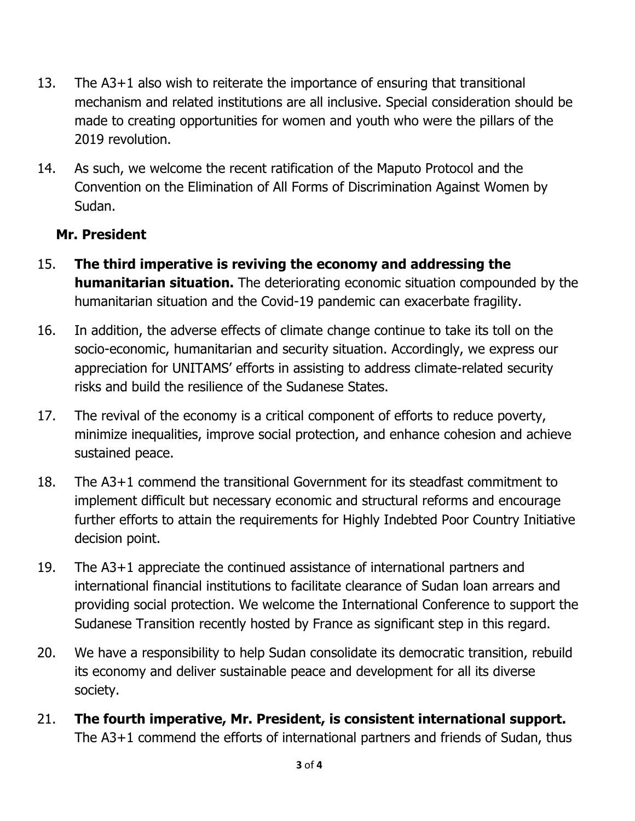- 13. The A3+1 also wish to reiterate the importance of ensuring that transitional mechanism and related institutions are all inclusive. Special consideration should be made to creating opportunities for women and youth who were the pillars of the 2019 revolution.
- 14. As such, we welcome the recent ratification of the Maputo Protocol and the Convention on the Elimination of All Forms of Discrimination Against Women by Sudan.

### **Mr. President**

- 15. **The third imperative is reviving the economy and addressing the humanitarian situation.** The deteriorating economic situation compounded by the humanitarian situation and the Covid-19 pandemic can exacerbate fragility.
- 16. In addition, the adverse effects of climate change continue to take its toll on the socio-economic, humanitarian and security situation. Accordingly, we express our appreciation for UNITAMS' efforts in assisting to address climate-related security risks and build the resilience of the Sudanese States.
- 17. The revival of the economy is a critical component of efforts to reduce poverty, minimize inequalities, improve social protection, and enhance cohesion and achieve sustained peace.
- 18. The A3+1 commend the transitional Government for its steadfast commitment to implement difficult but necessary economic and structural reforms and encourage further efforts to attain the requirements for Highly Indebted Poor Country Initiative decision point.
- 19. The A3+1 appreciate the continued assistance of international partners and international financial institutions to facilitate clearance of Sudan loan arrears and providing social protection. We welcome the International Conference to support the Sudanese Transition recently hosted by France as significant step in this regard.
- 20. We have a responsibility to help Sudan consolidate its democratic transition, rebuild its economy and deliver sustainable peace and development for all its diverse society.
- 21. **The fourth imperative, Mr. President, is consistent international support.** The A3+1 commend the efforts of international partners and friends of Sudan, thus